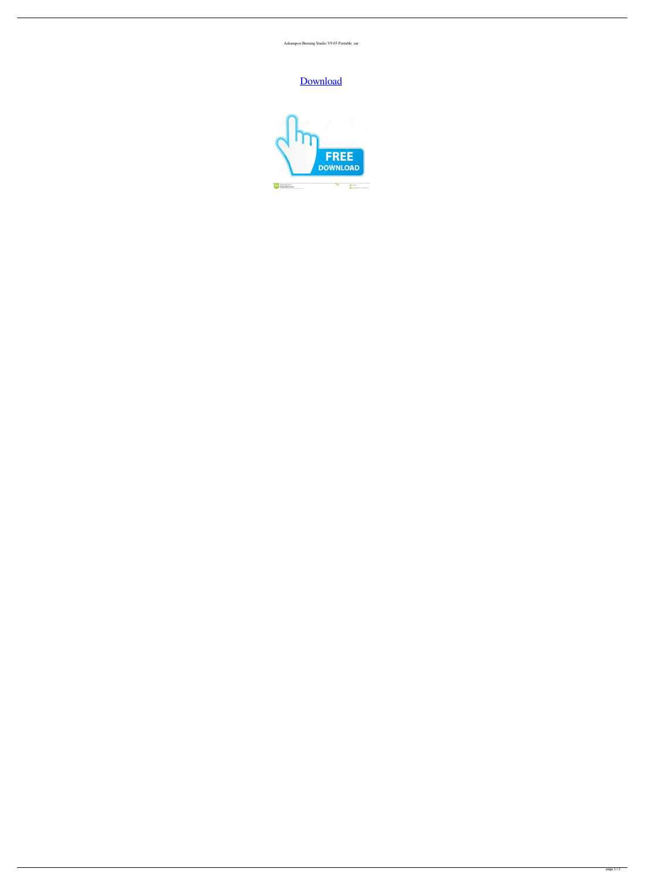Ashampoo Burning Studio V9.05 Portable .rar

## [Download](http://evacdir.com/QXNoYW1wb28gQnVybmluZyBTdHVkaW8gdjkuMDUgUG9ydGFibGUgLnJhcgQXN/rows/cochin/ZG93bmxvYWR8aXAxTWpSdU1IeDhNVFkxTWpjME1EZzJObng4TWpVM05IeDhLRTBwSUhKbFlXUXRZbXh2WnlCYlJtRnpkQ0JIUlU1ZA/depts=dyskinesias?amconf=petitions)